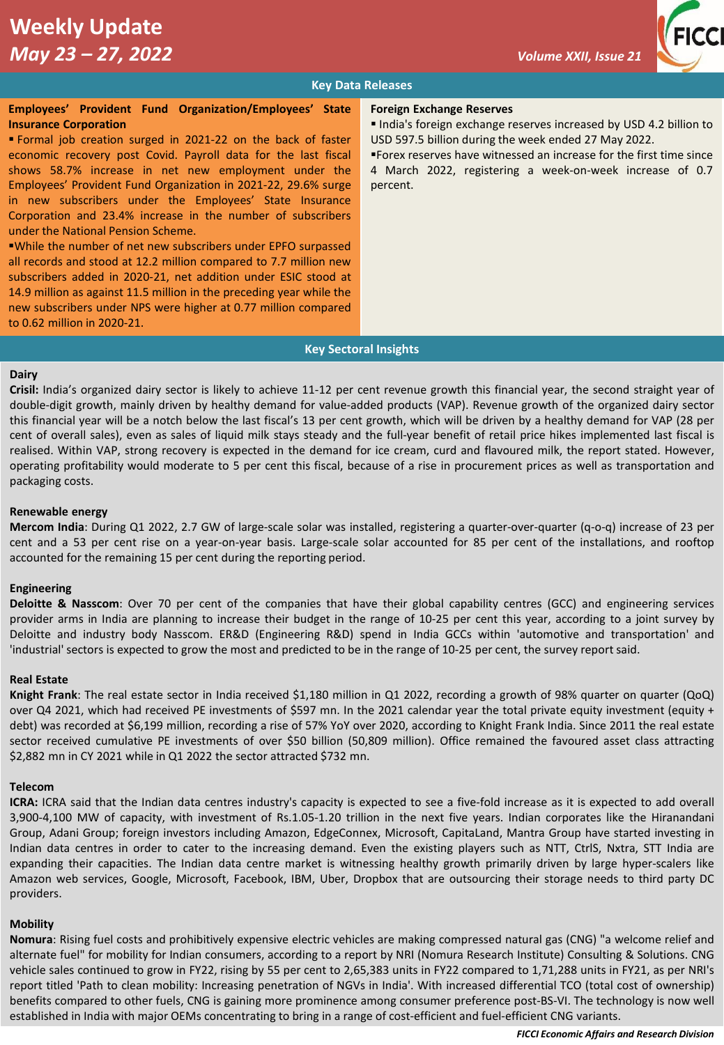

# **Key Data Releases**

#### **Employees' Provident Fund Organization/Employees' State Insurance Corporation**

▪ Formal job creation surged in 2021-22 on the back of faster economic recovery post Covid. Payroll data for the last fiscal shows 58.7% increase in net new employment under the Employees' Provident Fund Organization in 2021-22, 29.6% surge in new subscribers under the Employees' State Insurance Corporation and 23.4% increase in the number of subscribers under the National Pension Scheme.

▪While the number of net new subscribers under EPFO surpassed all records and stood at 12.2 million compared to 7.7 million new subscribers added in 2020-21, net addition under ESIC stood at 14.9 million as against 11.5 million in the preceding year while the new subscribers under NPS were higher at 0.77 million compared to 0.62 million in 2020-21.

#### **Foreign Exchange Reserves**

■ India's foreign exchange reserves increased by USD 4.2 billion to USD 597.5 billion during the week ended 27 May 2022.

▪Forex reserves have witnessed an increase for the first time since 4 March 2022, registering a week-on-week increase of 0.7 percent.

#### **Key Sectoral Insights**

#### **Dairy**

**Crisil:** India's organized dairy sector is likely to achieve 11-12 per cent revenue growth this financial year, the second straight year of double-digit growth, mainly driven by healthy demand for value-added products (VAP). Revenue growth of the organized dairy sector this financial year will be a notch below the last fiscal's 13 per cent growth, which will be driven by a healthy demand for VAP (28 per cent of overall sales), even as sales of liquid milk stays steady and the full-year benefit of retail price hikes implemented last fiscal is realised. Within VAP, strong recovery is expected in the demand for ice cream, curd and flavoured milk, the report stated. However, operating profitability would moderate to 5 per cent this fiscal, because of a rise in procurement prices as well as transportation and packaging costs.

#### **Renewable energy**

**Mercom India**: During Q1 2022, 2.7 GW of large-scale solar was installed, registering a quarter-over-quarter (q-o-q) increase of 23 per cent and a 53 per cent rise on a year-on-year basis. Large-scale solar accounted for 85 per cent of the installations, and rooftop accounted for the remaining 15 per cent during the reporting period.

#### **Engineering**

**Deloitte & Nasscom**: Over 70 per cent of the companies that have their global capability centres (GCC) and engineering services provider arms in India are planning to increase their budget in the range of 10-25 per cent this year, according to a joint survey by Deloitte and industry body Nasscom. ER&D (Engineering R&D) spend in India GCCs within 'automotive and transportation' and 'industrial' sectors is expected to grow the most and predicted to be in the range of 10-25 per cent, the survey report said.

## **Real Estate**

**Knight Frank**: The real estate sector in India received \$1,180 million in Q1 2022, recording a growth of 98% quarter on quarter (QoQ) over Q4 2021, which had received PE investments of \$597 mn. In the 2021 calendar year the total private equity investment (equity + debt) was recorded at \$6,199 million, recording a rise of 57% YoY over 2020, according to Knight Frank India. Since 2011 the real estate sector received cumulative PE investments of over \$50 billion (50,809 million). Office remained the favoured asset class attracting \$2,882 mn in CY 2021 while in Q1 2022 the sector attracted \$732 mn.

#### **Telecom**

**ICRA:** ICRA said that the Indian data centres industry's capacity is expected to see a five-fold increase as it is expected to add overall 3,900-4,100 MW of capacity, with investment of Rs.1.05-1.20 trillion in the next five years. Indian corporates like the Hiranandani Group, Adani Group; foreign investors including Amazon, EdgeConnex, Microsoft, CapitaLand, Mantra Group have started investing in Indian data centres in order to cater to the increasing demand. Even the existing players such as NTT, CtrlS, Nxtra, STT India are expanding their capacities. The Indian data centre market is witnessing healthy growth primarily driven by large hyper-scalers like Amazon web services, Google, Microsoft, Facebook, IBM, Uber, Dropbox that are outsourcing their storage needs to third party DC providers.

#### **Mobility**

**Nomura**: Rising fuel costs and prohibitively expensive electric vehicles are making compressed natural gas (CNG) "a welcome relief and alternate fuel" for mobility for Indian consumers, according to a report by NRI (Nomura Research Institute) Consulting & Solutions. CNG vehicle sales continued to grow in FY22, rising by 55 per cent to 2,65,383 units in FY22 compared to 1,71,288 units in FY21, as per NRI's report titled 'Path to clean mobility: Increasing penetration of NGVs in India'. With increased differential TCO (total cost of ownership) benefits compared to other fuels, CNG is gaining more prominence among consumer preference post-BS-VI. The technology is now well established in India with major OEMs concentrating to bring in a range of cost-efficient and fuel-efficient CNG variants.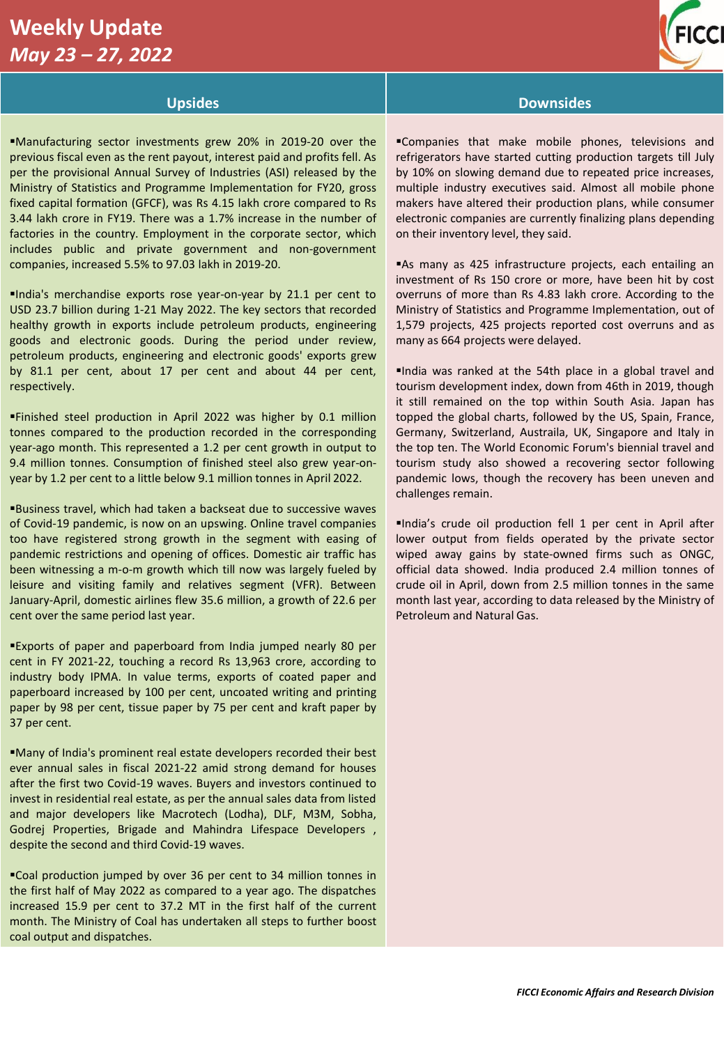# **Weekly Update**  *May 23 – 27, 2022*



# **Upsides Downsides**

▪Manufacturing sector investments grew 20% in 2019-20 over the previous fiscal even as the rent payout, interest paid and profits fell. As per the provisional Annual Survey of Industries (ASI) released by the Ministry of Statistics and Programme Implementation for FY20, gross fixed capital formation (GFCF), was Rs 4.15 lakh crore compared to Rs 3.44 lakh crore in FY19. There was a 1.7% increase in the number of factories in the country. Employment in the corporate sector, which includes public and private government and non-government companies, increased 5.5% to 97.03 lakh in 2019-20.

▪India's merchandise exports rose year-on-year by 21.1 per cent to USD 23.7 billion during 1-21 May 2022. The key sectors that recorded healthy growth in exports include petroleum products, engineering goods and electronic goods. During the period under review, petroleum products, engineering and electronic goods' exports grew by 81.1 per cent, about 17 per cent and about 44 per cent, respectively.

▪Finished steel production in April 2022 was higher by 0.1 million tonnes compared to the production recorded in the corresponding year-ago month. This represented a 1.2 per cent growth in output to 9.4 million tonnes. Consumption of finished steel also grew year-onyear by 1.2 per cent to a little below 9.1 million tonnes in April 2022.

▪Business travel, which had taken a backseat due to successive waves of Covid-19 pandemic, is now on an upswing. Online travel companies too have registered strong growth in the segment with easing of pandemic restrictions and opening of offices. Domestic air traffic has been witnessing a m-o-m growth which till now was largely fueled by leisure and visiting family and relatives segment (VFR). Between January-April, domestic airlines flew 35.6 million, a growth of 22.6 per cent over the same period last year.

▪Exports of paper and paperboard from India jumped nearly 80 per cent in FY 2021-22, touching a record Rs 13,963 crore, according to industry body IPMA. In value terms, exports of coated paper and paperboard increased by 100 per cent, uncoated writing and printing paper by 98 per cent, tissue paper by 75 per cent and kraft paper by 37 per cent.

▪Many of India's prominent real estate developers recorded their best ever annual sales in fiscal 2021-22 amid strong demand for houses after the first two Covid-19 waves. Buyers and investors continued to invest in residential real estate, as per the annual sales data from listed and major developers like Macrotech (Lodha), DLF, M3M, Sobha, Godrej Properties, Brigade and Mahindra Lifespace Developers , despite the second and third Covid-19 waves.

▪Coal production jumped by over 36 per cent to 34 million tonnes in the first half of May 2022 as compared to a year ago. The dispatches increased 15.9 per cent to 37.2 MT in the first half of the current month. The Ministry of Coal has undertaken all steps to further boost coal output and dispatches.

▪Companies that make mobile phones, televisions and refrigerators have started cutting production targets till July by 10% on slowing demand due to repeated price increases, multiple industry executives said. Almost all mobile phone makers have altered their production plans, while consumer electronic companies are currently finalizing plans depending on their inventory level, they said.

**Bas many as 425 infrastructure projects, each entailing an** investment of Rs 150 crore or more, have been hit by cost overruns of more than Rs 4.83 lakh crore. According to the Ministry of Statistics and Programme Implementation, out of 1,579 projects, 425 projects reported cost overruns and as many as 664 projects were delayed.

▪India was ranked at the 54th place in a global travel and tourism development index, down from 46th in 2019, though it still remained on the top within South Asia. Japan has topped the global charts, followed by the US, Spain, France, Germany, Switzerland, Austraila, UK, Singapore and Italy in the top ten. The World Economic Forum's biennial travel and tourism study also showed a recovering sector following pandemic lows, though the recovery has been uneven and challenges remain.

▪India's crude oil production fell 1 per cent in April after lower output from fields operated by the private sector wiped away gains by state-owned firms such as ONGC, official data showed. India produced 2.4 million tonnes of crude oil in April, down from 2.5 million tonnes in the same month last year, according to data released by the Ministry of Petroleum and Natural Gas.